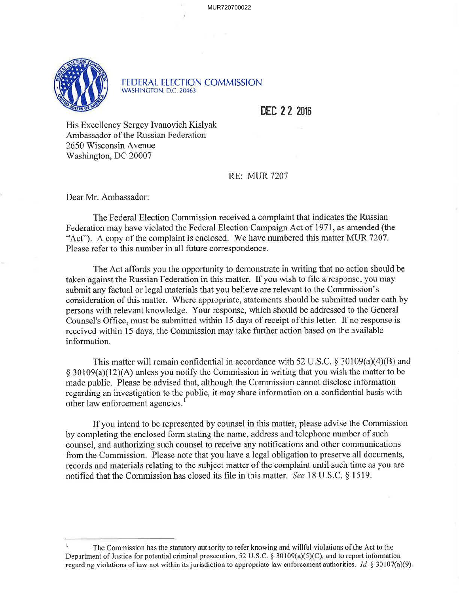

FEDERAL ELECTION COMMISSION WASHINGTON, D.C. 20463

**DEC 2 2 2016** 

His Excellency Sergey Ivanovich Kislyak Ambassador of the Russian Federation 2650 Wisconsin A venue Washington, DC 20007

## RE: MUR 7207

Dear Mr. Ambassador:

The Federal Election Commission received a complaint that indicates the Russian Federation may have violated the Federal Election Campaign Act of 1971, as amended (the "Act"). A copy of the complaint is enclosed. We have numbered this matter MUR 7207. Please refer to this number in all future correspondence.

The Act affords you the opportunity to demonstrate in writing that no action should be taken against the Russian Federation in this matter. If you wish to file a response, you may submit any factual or legal materials that you believe are relevant to the Commission's consideration of this matter. Where appropriate, statements should be submitted under oath by persons with relevant knowledge. Your response, which should be addressed to the General Counsel's Office, must be submitted within 15 days of receipt of this letter. If no response is received within 15 days, the Commission may take further action based on the available information.

This matter will remain confidential in accordance with 52 U.S.C. § 30109(a)(4)(B) and § 30109(a)(12)(A) unless you notify the Commission in writing that you wish the matter to be made public. Please be advised that, although the Commission cannot disclose information regarding an investigation to the public, it may share information on a confidential basis with other law enforcement agencies. 1

If you intend to be represented by counsel in this matter, please advise the Commission by completing the enclosed form stating the name, address and telephone number of such counsel, and authorizing such counsel to receive any notifications and other communications from the Commission. Please note that you have a legal obligation to preserve all documents, records and materials relating to the subject matter of the complaint until such time as you are notified that the Commission has closed its file in this matter. *See* 18 U.S.C. § 1519.

The Commission has the statutory authority to refer knowing and willful violations of the Act to the Department of Justice for potential criminal prosecution, 52 U.S.C. § 30109(a)(5)(C), and to report information regarding violations of law not within its jurisdiction to appropriate law enforcement authorities. Id § 30107(a)(9).